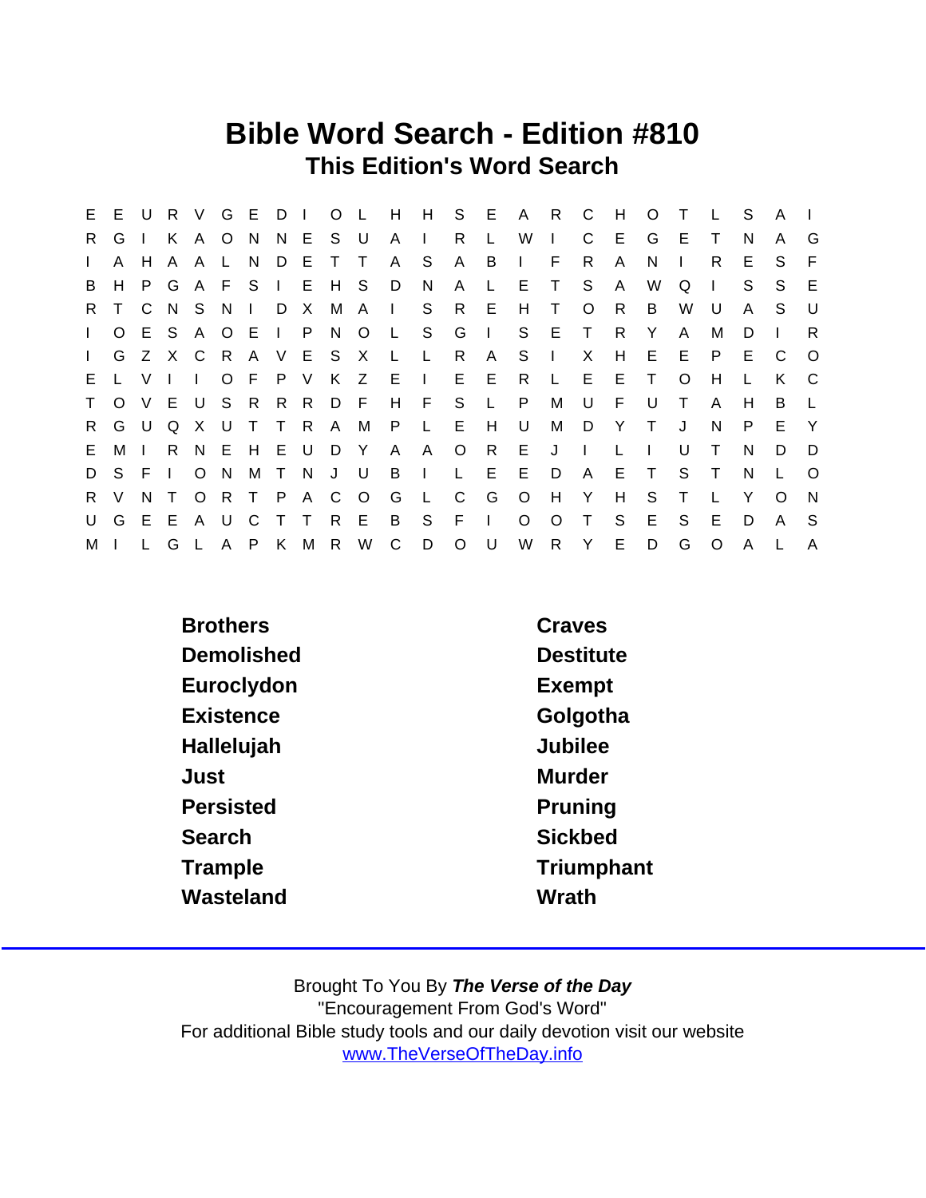## Bible Word Search - Edition #810 This Edition's Word Search

|              |         |              |        |              |       |    |  |      |         |                           |                             |              |              | E E U R V G E D I O L H H S E A R C |              |                | H            | O T    |              | $\mathsf{L}$ | - S | A            |          |
|--------------|---------|--------------|--------|--------------|-------|----|--|------|---------|---------------------------|-----------------------------|--------------|--------------|-------------------------------------|--------------|----------------|--------------|--------|--------------|--------------|-----|--------------|----------|
| R.           | G       | $\mathbf{L}$ | K      | A O N        |       |    |  |      |         |                           | N E S U A IR                |              | $\mathbf{L}$ | W                                   | $\mathbf{L}$ | C              | E.           | G      | -E           |              | N   | A            | G        |
| $\mathbf{L}$ | A       | H A          |        | A L          |       | N. |  | DETT |         | A S                       |                             | A B          |              | $\sim 1$ .                          | F            | R.             | A            | N.     | $\mathbf{I}$ | R.           | Е   | S.           | E        |
| B            | H       |              | P G    |              |       |    |  |      |         | A F S I E H S D N         |                             | $\mathsf{A}$ | $\mathsf{L}$ | E T S                               |              |                | - A          | W      | Q            | $\mathbf{I}$ | S.  | S.           | E        |
|              |         |              |        |              |       |    |  |      |         | R T C N S N I D X M A I S |                             |              |              | R E H T                             |              | $\overline{O}$ | R.           | B      | W            | U            | A   | S.           | U        |
| $\mathbf{L}$ | $\circ$ |              |        |              |       |    |  |      |         |                           | E S A O E I P N O L S G     |              | $\mathbf{1}$ |                                     | S E T        |                | R.           | Y      | A            | M            | D   |              | R.       |
| $\mathbf{L}$ |         |              |        |              |       |    |  |      |         |                           | G Z X C R A V E S X L L R   |              |              | A S I X                             |              |                | H            |        | $E$ $E$      | P.           | E.  | - C          | $\circ$  |
| E.           | L V     |              | $\Box$ | $\mathbf{I}$ |       |    |  |      |         |                           | OFPVKZEI EER                |              |              |                                     | L E E        |                |              | $\top$ | $\circ$      | H            |     | K.           | C.       |
| T            |         |              |        |              |       |    |  |      |         |                           | O V E U S R R R D F H F S L |              |              | P                                   | M            | <b>U</b>       | - F          | - U    | $\top$       | A            | H.  | B            |          |
| R.           |         | G U Q        |        |              |       |    |  |      |         | X U T T R A M P L         |                             | E H          |              | U                                   | M            | D Y            |              | $\top$ | J            | N.           | P   | E.           | Y        |
| E.           | M I     |              |        |              |       |    |  |      |         |                           |                             |              |              | R N E H E U D Y A A O R E J I       |              |                | $\mathsf{L}$ |        | U            | $\top$       | N   | D.           | D        |
|              | DSFI    |              |        |              | $O$ N |    |  |      |         | M T N J U B I             |                             |              |              | L E E                               | D            | - A            |              | E T    | S.           | $\top$       | N   |              | $\Omega$ |
|              | R V     |              | N T    |              |       |    |  |      | ORTPACO |                           | G L C                       |              |              | G O H Y                             |              |                | H            | S.     | $\top$       |              | Y   | $\Omega$     | <b>N</b> |
|              | UGEE    |              |        |              |       |    |  |      |         |                           | A U C T T R E B S F I       |              |              | $\circ$                             | $\circ$      | $\top$         | S            | E      | S.           | -E           | D   | $\mathsf{A}$ | -S       |
| M            |         | L.           | G      |              |       |    |  |      |         | A P K M R W C D           |                             | $\circ$      | <b>U</b>     |                                     | W R Y        |                | E            | D      | G            | $\circ$      | A   |              |          |

| <b>Brothers</b> | Craves           |
|-----------------|------------------|
| Demolished      | <b>Destitute</b> |
| Euroclydon      | Exempt           |
| Existence       | Golgotha         |
| Hallelujah      | <b>Jubilee</b>   |
| Just            | Murder           |
| Persisted       | Pruning          |
| Search          | <b>Sickbed</b>   |
| Trample         | Triumphant       |
| Wasteland       | Wrath            |
|                 |                  |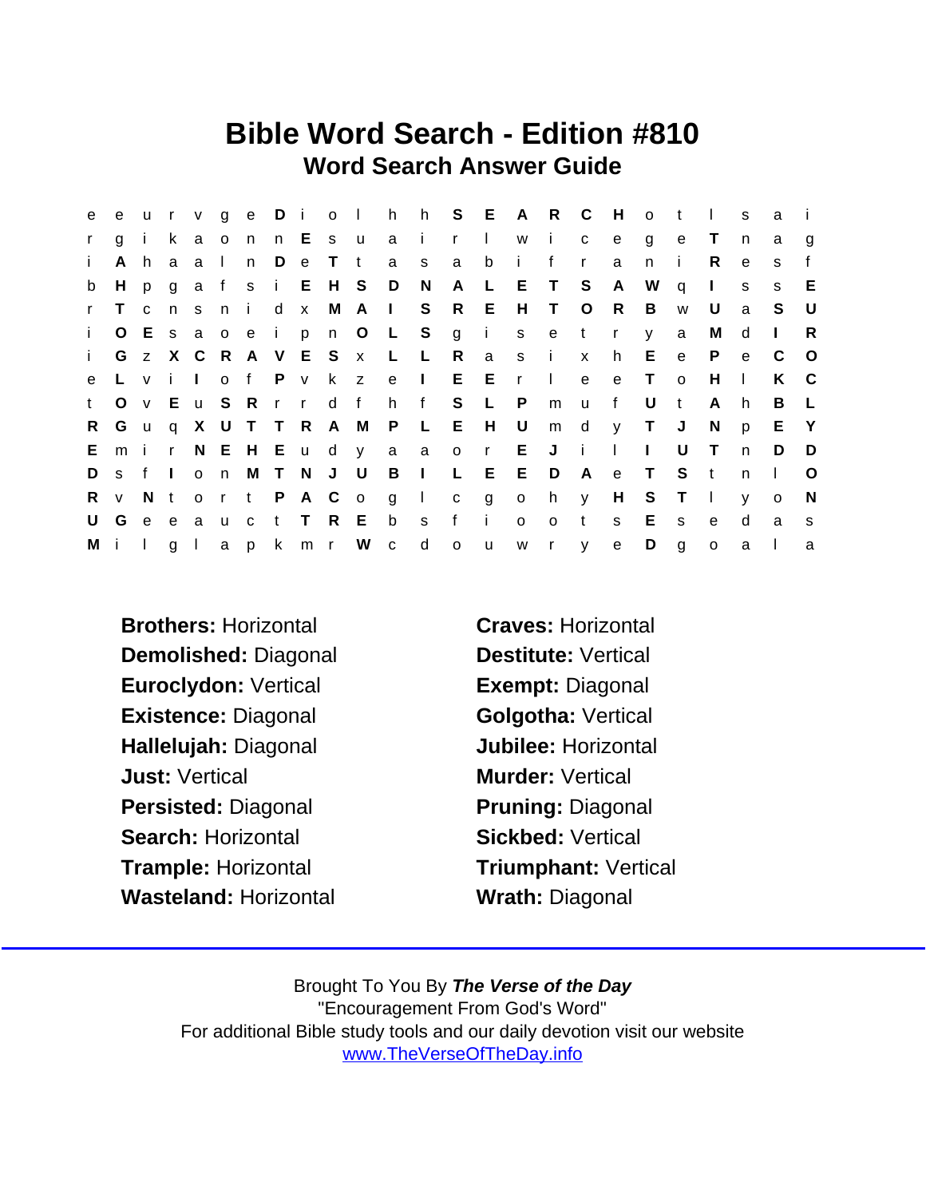## Bible Word Search - Edition #810 Word Search Answer Guide

| e            | e u          |              |              | r v          |           |      |   |                     |  |                       | ge Diolhh S E A R C     |                |              |              |              |              | - H          | $\circ$      | $-t$           | $\mathbf{L}$ | S            | a            |              |
|--------------|--------------|--------------|--------------|--------------|-----------|------|---|---------------------|--|-----------------------|-------------------------|----------------|--------------|--------------|--------------|--------------|--------------|--------------|----------------|--------------|--------------|--------------|--------------|
| $\mathsf{r}$ | g            | i k          |              |              | a o n     |      |   |                     |  | n Esuai               |                         | r I            |              |              | w i          | $\mathbf{C}$ | e            | g            | e              | $\top$       | n.           | a            | g            |
| i.           | A            | h.           | a            | a I          |           | n    | D | e T t               |  |                       | a s                     | a              | b            | - i -        | $\mathbf{f}$ | $\mathsf{r}$ | a            | $\mathsf{n}$ | -i-            | R.           | e            | S            | f            |
| b            | H            |              |              |              |           |      |   |                     |  | p g a f s i E H S D N |                         | A L            |              |              | E T S        |              | <b>A</b>     | W            | q              | $\mathbf{L}$ | S.           | <sub>S</sub> | E            |
| $\mathbf{r}$ | $\top$       | $\mathbf{C}$ |              |              |           | nsni |   |                     |  |                       | d x M A I S             | R E            |              |              | H T O R      |              |              | B            | W              | U            | a            | S.           | U            |
| $\mathbf{i}$ |              |              |              |              |           |      |   | O E s a o e i p n O |  |                       | L S g i                 |                |              |              | s e t r      |              |              | y            | a              | м            | d            | $\mathbf{I}$ | R.           |
| $\mathbf{i}$ |              |              |              |              |           |      |   | G z X C R A V E S x |  | $\mathsf{L}$          | $\mathbb{L}$            | R              |              |              | a s i x      |              | h            | E e          |                | - P          | $\mathbf{e}$ | C            | $\circ$      |
| e            |              | Lvi          |              | $\mathbf{1}$ |           |      |   | of P v k z          |  | e l                   |                         |                | E E r        |              | $\sim 1$     | e            | $\mathbf{e}$ | $\top$       | $\circ$        | H            | $\mathbf{L}$ | K            | - C          |
| t            | $\circ$      |              |              |              | v E u S R |      |   |                     |  |                       | rrd fhf                 |                | S L          | $\mathsf{P}$ | m            | u u          | $-f$         | U            | $-t$           | A            | h.           | B            | $\mathsf{L}$ |
| R.           |              |              |              |              |           |      |   |                     |  |                       | Gug X U T T R A M P L E |                | H U          |              |              | m d          |              | $y$ T J      |                | N.           | p            | E Y          |              |
| E.           | m i          |              | $\mathbf{r}$ |              |           |      |   |                     |  |                       | N E H E u d y a a o r   |                |              | E            | $J$ i        |              | $\Box$       | $\mathbf{L}$ | U              | $\top$       | $\mathsf{n}$ | D            | D            |
| D            | s f          |              | $\sim 1$ .   |              | $o$ n     |      |   | M T N J U           |  | B                     | $\sim 1$ .              | $\mathsf{L}$   |              | E E          | D            | - A          | e T          |              | S.             | $-t$         | n.           | $\mathbf{I}$ | $\circ$      |
| R            | $\mathsf{V}$ | N t          |              |              |           |      |   |                     |  | ort PAC og I          |                         |                |              |              | c go hy      |              | H            | $\mathsf{S}$ | T <sub>1</sub> |              | V            | $\circ$      | N.           |
| U            | G            |              |              |              |           |      |   | e e a u c t T R E   |  | $\mathsf b$           | S.                      | f              | $\mathbf{i}$ | $\circ$      | $\circ$      | t            | S.           | Е            | S.             | $\mathbf{e}$ | d            | a            | -S           |
|              | Milgl        |              |              |              |           |      |   |                     |  | apkmr Wcd             |                         | $\overline{O}$ | $\mathsf{u}$ |              | w r y        |              | e            | D            | g              | $\circ$      | a            |              | a            |

Brothers: Horizontal Craves: Horizontal Demolished: Diagonal Destitute: Vertical Euroclydon: Vertical Exempt: Diagonal Existence: Diagonal Golgotha: Vertical Hallelujah: Diagonal Jubilee: Horizontal Just: Vertical **Murder: Vertical** Persisted: Diagonal Pruning: Diagonal Search: Horizontal Sickbed: Vertical Trample: Horizontal Triumphant: Vertical Wasteland: Horizontal Wrath: Diagonal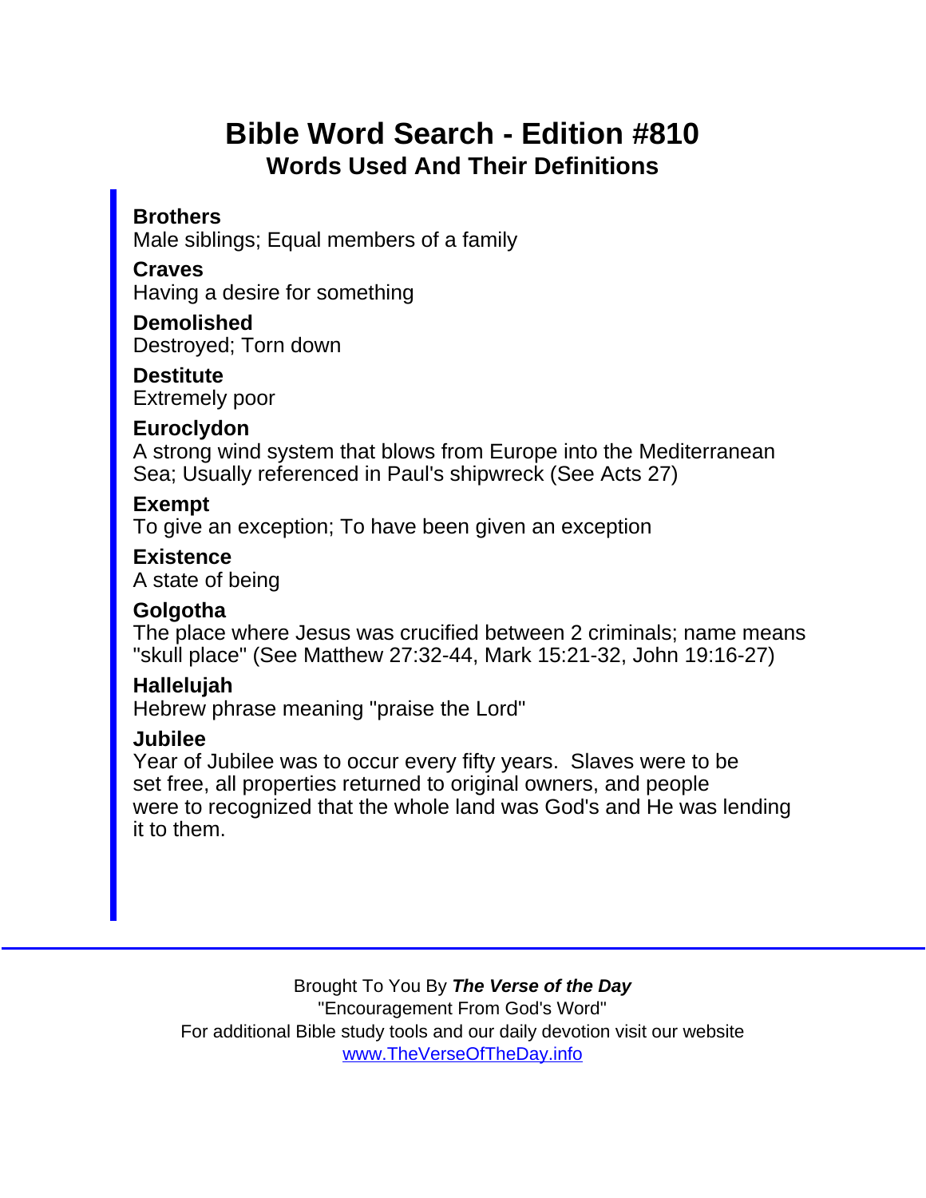## Bible Word Search - Edition #810 Words Used And Their Definitions

**Brothers** Male siblings; Equal members of a family

**Craves** 

Having a desire for something

**Demolished** Destroyed; Torn down

**Destitute** Extremely poor

**Euroclydon** 

A strong wind system that blows from Europe into the Mediterranean Sea; Usually referenced in Paul's shipwreck (See Acts 27)

Exempt

To give an exception; To have been given an exception

**Existence** A state of being

**Golgotha** 

The place where Jesus was crucified between 2 criminals; name means "skull place" (See Matthew 27:32-44, Mark 15:21-32, John 19:16-27)

Hallelujah

Hebrew phrase meaning "praise the Lord"

Jubilee

Year of Jubilee was to occur every fifty years. Slaves were to be set free, all properties returned to original owners, and people were to recognized that the whole land was God's and He was lending it to them.